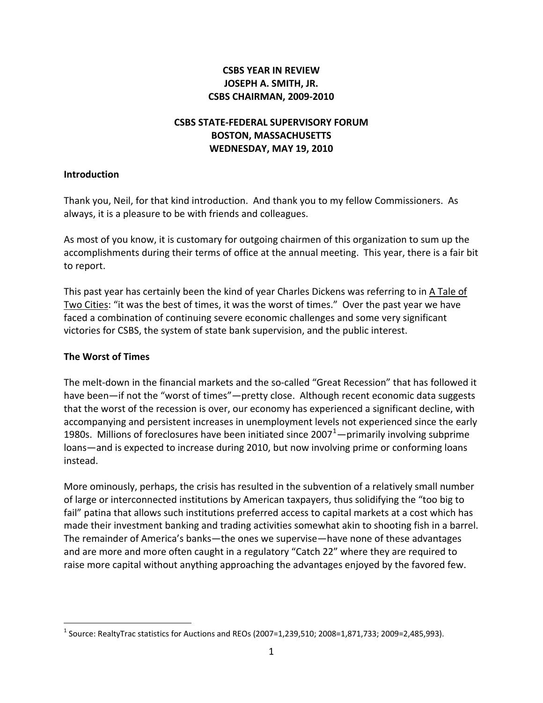# **CSBS YEAR IN REVIEW JOSEPH A. SMITH, JR. CSBS CHAIRMAN, 2009‐2010**

# **CSBS STATE‐FEDERAL SUPERVISORY FORUM BOSTON, MASSACHUSETTS WEDNESDAY, MAY 19, 2010**

#### **Introduction**

Thank you, Neil, for that kind introduction. And thank you to my fellow Commissioners. As always, it is a pleasure to be with friends and colleagues.

As most of you know, it is customary for outgoing chairmen of this organization to sum up the accomplishments during their terms of office at the annual meeting. This year, there is a fair bit to report.

This past year has certainly been the kind of year Charles Dickens was referring to in A Tale of Two Cities: "it was the best of times, it was the worst of times." Over the past year we have faced a combination of continuing severe economic challenges and some very significant victories for CSBS, the system of state bank supervision, and the public interest.

## **The Worst of Times**

The melt‐down in the financial markets and the so‐called "Great Recession" that has followed it have been—if not the "worst of times"—pretty close. Although recent economic data suggests that the worst of the recession is over, our economy has experienced a significant decline, with accompanying and persistent increases in unemployment levels not experienced since the early [1](#page-0-0)980s. Millions of foreclosures have been initiated since 2007 $^1$ —primarily involving subprime loans—and is expected to increase during 2010, but now involving prime or conforming loans instead.

More ominously, perhaps, the crisis has resulted in the subvention of a relatively small number of large or interconnected institutions by American taxpayers, thus solidifying the "too big to fail" patina that allows such institutions preferred access to capital markets at a cost which has made their investment banking and trading activities somewhat akin to shooting fish in a barrel. The remainder of America's banks—the ones we supervise—have none of these advantages and are more and more often caught in a regulatory "Catch 22" where they are required to raise more capital without anything approaching the advantages enjoyed by the favored few.

<span id="page-0-0"></span> <sup>1</sup> Source: RealtyTrac statistics for Auctions and REOs (2007=1,239,510; 2008=1,871,733; 2009=2,485,993).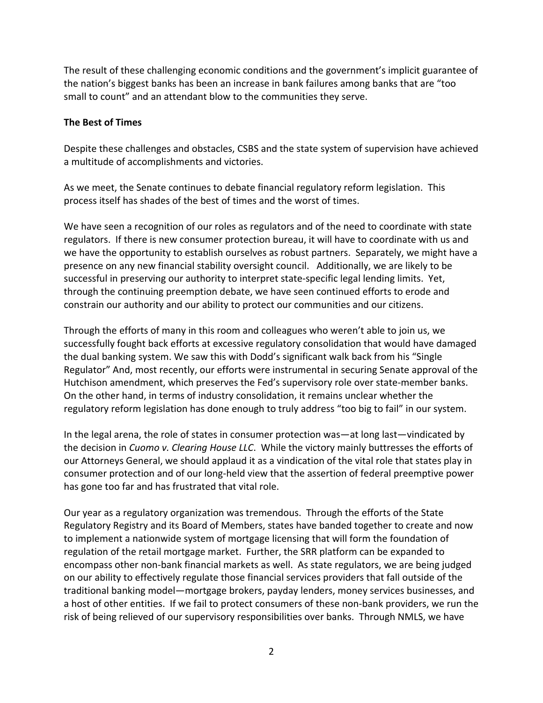The result of these challenging economic conditions and the government's implicit guarantee of the nation's biggest banks has been an increase in bank failures among banks that are "too small to count" and an attendant blow to the communities they serve.

## **The Best of Times**

Despite these challenges and obstacles, CSBS and the state system of supervision have achieved a multitude of accomplishments and victories.

As we meet, the Senate continues to debate financial regulatory reform legislation. This process itself has shades of the best of times and the worst of times.

We have seen a recognition of our roles as regulators and of the need to coordinate with state regulators. If there is new consumer protection bureau, it will have to coordinate with us and we have the opportunity to establish ourselves as robust partners. Separately, we might have a presence on any new financial stability oversight council. Additionally, we are likely to be successful in preserving our authority to interpret state‐specific legal lending limits. Yet, through the continuing preemption debate, we have seen continued efforts to erode and constrain our authority and our ability to protect our communities and our citizens.

Through the efforts of many in this room and colleagues who weren't able to join us, we successfully fought back efforts at excessive regulatory consolidation that would have damaged the dual banking system. We saw this with Dodd's significant walk back from his "Single Regulator" And, most recently, our efforts were instrumental in securing Senate approval of the Hutchison amendment, which preserves the Fed's supervisory role over state-member banks. On the other hand, in terms of industry consolidation, it remains unclear whether the regulatory reform legislation has done enough to truly address "too big to fail" in our system.

In the legal arena, the role of states in consumer protection was—at long last—vindicated by the decision in *Cuomo v. Clearing House LLC*. While the victory mainly buttresses the efforts of our Attorneys General, we should applaud it as a vindication of the vital role that states play in consumer protection and of our long‐held view that the assertion of federal preemptive power has gone too far and has frustrated that vital role.

Our year as a regulatory organization was tremendous. Through the efforts of the State Regulatory Registry and its Board of Members, states have banded together to create and now to implement a nationwide system of mortgage licensing that will form the foundation of regulation of the retail mortgage market. Further, the SRR platform can be expanded to encompass other non‐bank financial markets as well. As state regulators, we are being judged on our ability to effectively regulate those financial services providers that fall outside of the traditional banking model—mortgage brokers, payday lenders, money services businesses, and a host of other entities. If we fail to protect consumers of these non‐bank providers, we run the risk of being relieved of our supervisory responsibilities over banks. Through NMLS, we have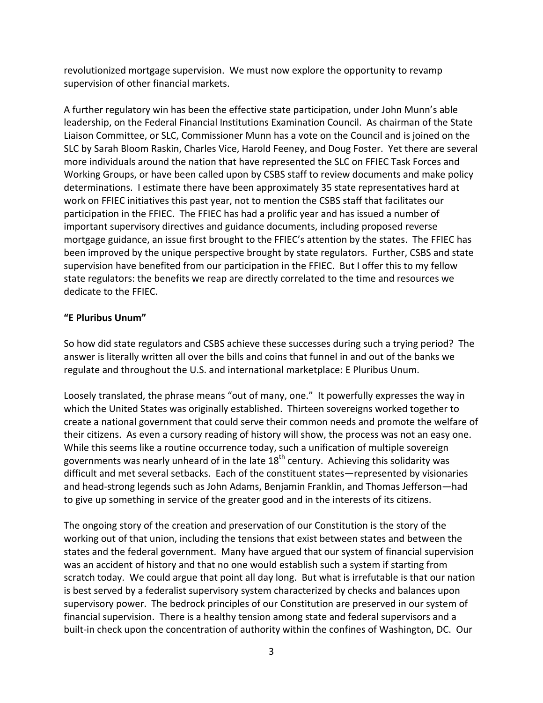revolutionized mortgage supervision. We must now explore the opportunity to revamp supervision of other financial markets.

A further regulatory win has been the effective state participation, under John Munn's able leadership, on the Federal Financial Institutions Examination Council. As chairman of the State Liaison Committee, or SLC, Commissioner Munn has a vote on the Council and is joined on the SLC by Sarah Bloom Raskin, Charles Vice, Harold Feeney, and Doug Foster. Yet there are several more individuals around the nation that have represented the SLC on FFIEC Task Forces and Working Groups, or have been called upon by CSBS staff to review documents and make policy determinations. I estimate there have been approximately 35 state representatives hard at work on FFIEC initiatives this past year, not to mention the CSBS staff that facilitates our participation in the FFIEC. The FFIEC has had a prolific year and has issued a number of important supervisory directives and guidance documents, including proposed reverse mortgage guidance, an issue first brought to the FFIEC's attention by the states. The FFIEC has been improved by the unique perspective brought by state regulators. Further, CSBS and state supervision have benefited from our participation in the FFIEC. But I offer this to my fellow state regulators: the benefits we reap are directly correlated to the time and resources we dedicate to the FFIEC.

## **"E Pluribus Unum"**

So how did state regulators and CSBS achieve these successes during such a trying period? The answer is literally written all over the bills and coins that funnel in and out of the banks we regulate and throughout the U.S. and international marketplace: E Pluribus Unum.

Loosely translated, the phrase means "out of many, one." It powerfully expresses the way in which the United States was originally established. Thirteen sovereigns worked together to create a national government that could serve their common needs and promote the welfare of their citizens. As even a cursory reading of history will show, the process was not an easy one. While this seems like a routine occurrence today, such a unification of multiple sovereign governments was nearly unheard of in the late  $18<sup>th</sup>$  century. Achieving this solidarity was difficult and met several setbacks. Each of the constituent states—represented by visionaries and head‐strong legends such as John Adams, Benjamin Franklin, and Thomas Jefferson—had to give up something in service of the greater good and in the interests of its citizens.

The ongoing story of the creation and preservation of our Constitution is the story of the working out of that union, including the tensions that exist between states and between the states and the federal government. Many have argued that our system of financial supervision was an accident of history and that no one would establish such a system if starting from scratch today. We could argue that point all day long. But what is irrefutable is that our nation is best served by a federalist supervisory system characterized by checks and balances upon supervisory power. The bedrock principles of our Constitution are preserved in our system of financial supervision. There is a healthy tension among state and federal supervisors and a built-in check upon the concentration of authority within the confines of Washington, DC. Our